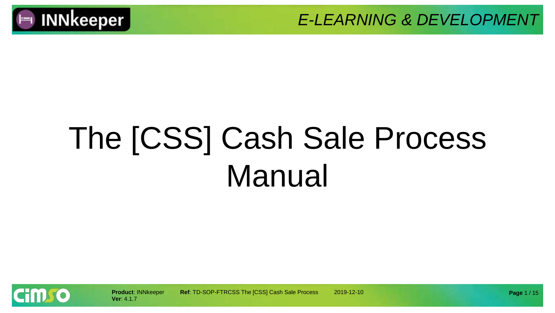

# The [CSS] Cash Sale Process Manual

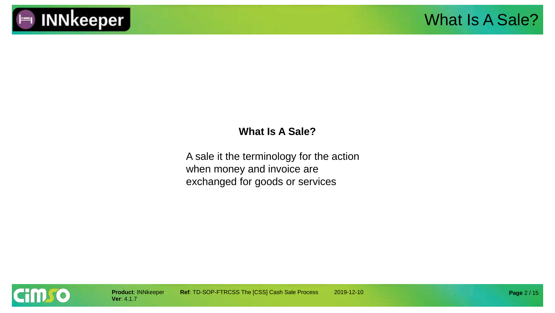

#### **What Is A Sale?**

A sale it the terminology for the action when money and invoice are exchanged for goods or services

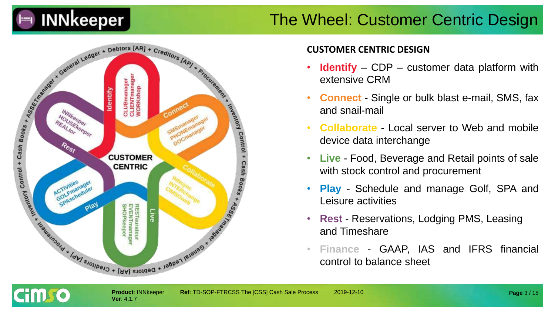

#### The Wheel: Customer Centric Design



#### **CUSTOMER CENTRIC DESIGN**

- **Identify** CDP customer data platform with extensive CRM
- **Connect** Single or bulk blast e-mail, SMS, fax and snail-mail
- **Collaborate** Local server to Web and mobile device data interchange
- **Live** Food, Beverage and Retail points of sale with stock control and procurement
- **Play** Schedule and manage Golf, SPA and Leisure activities
- **Rest** Reservations, Lodging PMS, Leasing and Timeshare
- **Finance** GAAP, IAS and IFRS financial control to balance sheet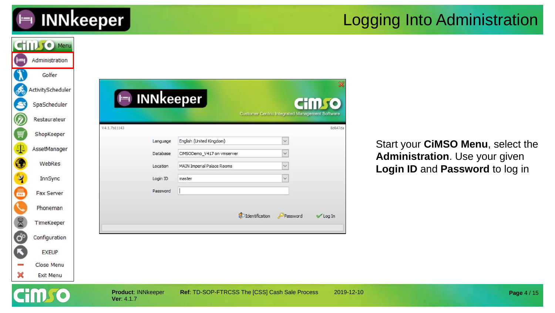

#### Logging Into Administration

|                      | <b>CHILLIO</b> Menu |                                         |                      |                                                        |                                                        |            |                                                                   |
|----------------------|---------------------|-----------------------------------------|----------------------|--------------------------------------------------------|--------------------------------------------------------|------------|-------------------------------------------------------------------|
| (F=1                 | Administration      |                                         |                      |                                                        |                                                        |            |                                                                   |
|                      | Golfer              |                                         |                      |                                                        |                                                        |            |                                                                   |
| கூ                   | ActivityScheduler   |                                         |                      |                                                        |                                                        |            |                                                                   |
| S                    | SpaScheduler        | $\vdash$                                |                      | <b>INNkeeper</b>                                       | <b>CHILL TO</b>                                        |            |                                                                   |
| Ø                    | Restaurateur        |                                         |                      |                                                        | <b>Customer Centric Integrated Management Software</b> |            |                                                                   |
| Į                    | ShopKeeper          | V4.1.7b11143                            |                      |                                                        |                                                        | 8d647da    |                                                                   |
| $\Phi$               | AssetManager        |                                         | Language<br>Database | English (United Kingdom)<br>CIMSODemo_V417 on vmserver | $\ddotmark$<br>$\checkmark$                            |            | Start your CiMSO Menu, select the                                 |
| $\bullet$            | WebRes              |                                         | Location             | <b>MAIN Imperial Palace Rooms</b>                      |                                                        |            | Administration. Use your given<br>Login ID and Password to log in |
| $\mathbf{\hat{z}}$   | InnSync             |                                         | Login ID             | master                                                 |                                                        |            |                                                                   |
| 高级                   | Fax Server          |                                         | Password             |                                                        |                                                        |            |                                                                   |
|                      | Phoneman            |                                         |                      |                                                        |                                                        |            |                                                                   |
| 8                    | TimeKeeper          |                                         |                      |                                                        | dentification<br>Password<br><b>√Log In</b>            |            |                                                                   |
| $\mathbf{G}^{\circ}$ | Configuration       |                                         |                      |                                                        |                                                        |            |                                                                   |
| C                    | <b>EXEUP</b>        |                                         |                      |                                                        |                                                        |            |                                                                   |
|                      | Close Menu          |                                         |                      |                                                        |                                                        |            |                                                                   |
| ×                    | Exit Menu           |                                         |                      |                                                        |                                                        |            |                                                                   |
|                      |                     | <b>Product: INNkeeper</b><br>Ver: 4.1.7 |                      | Ref: TD-SOP-FTRCSS The [CSS] Cash Sale Process         |                                                        | 2019-12-10 | Page 4 / 15                                                       |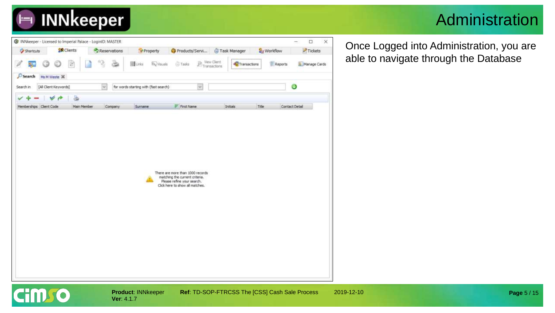

#### Administration

| G INNkeeper - Licensed to Imperial Palace - LoginID: MASTER |                       |                    |                   |                                                 |              |                 |                                       |                                                                                                                                     |                                    |              |       |                     | -              | $\Box$                        | $\times$ |
|-------------------------------------------------------------|-----------------------|--------------------|-------------------|-------------------------------------------------|--------------|-----------------|---------------------------------------|-------------------------------------------------------------------------------------------------------------------------------------|------------------------------------|--------------|-------|---------------------|----------------|-------------------------------|----------|
| Shortcuts                                                   |                       |                    | <b>SR</b> Clients |                                                 | Reservations |                 | * Property                            | Products/Servi                                                                                                                      |                                    | Task Manager |       | <b>B</b> y Workflow |                | $\blacktriangleright$ Tickets |          |
| 鄟<br>ß                                                      |                       |                    | $\mathcal{C}$     | 13                                              | è            | <b>El</b> Links | <b>By Visuals</b>                     | <b>Tasks</b>                                                                                                                        | $\mathbb{P}_{\text{Transactions}}$ | Transactions |       | Reports             |                | Manage Cards                  |          |
| $\mathcal{D}$ Search<br>Search in                           | [All Client Keywords] | Ms M Weste 30      |                   | $\mathcal{P}_{\mathcal{P}_{\mathcal{C}}^{(i)}}$ |              |                 | for words starting with (fast search) |                                                                                                                                     | $\mathcal{L}$                      |              |       |                     | o              |                               |          |
| Memberships Clent Code                                      |                       | V<br>$\rightarrow$ | a<br>Main Member  |                                                 | Company      | Surname         |                                       | $F$ First Name                                                                                                                      |                                    | Initials     | Title |                     | Contact Detail |                               |          |
|                                                             |                       |                    |                   |                                                 |              |                 |                                       | There are more than 1000 records<br>matching the current criteria.<br>Please refine your search.<br>Click here to show all matches. |                                    |              |       |                     |                |                               |          |

**Ver**: 4.1.7

**Cimso** 

**Product: INNkeeper Ref: TD-SOP-FTRCSS The [CSS] Cash Sale Process 2019-12-10** 

Once Logged into Administration, you are able to navigate through the Database

**Page** 5 / 15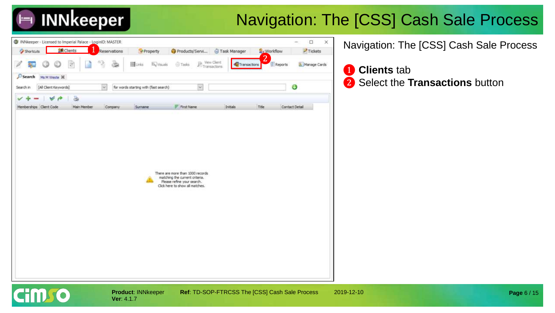## **INNkeeper**

### Navigation: The [CSS] Cash Sale Process

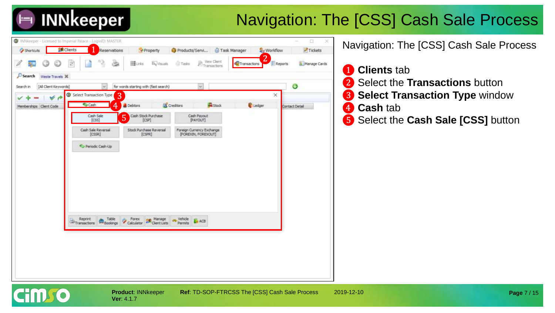## **INNkeeper**

### Navigation: The [CSS] Cash Sale Process



**Ver**: 4.1.7

Hmro

**Product**: INNkeeper **Ref**: TD-SOP-FTRCSS The [CSS] Cash Sale Process 2019-12-10

Navigation: The [CSS] Cash Sale Process

 **Clients** tab Select the **Transactions** button Select Transaction Type window ❹ **Cash** tab Select the **Cash Sale [CSS]** button

**Page** 7 / 15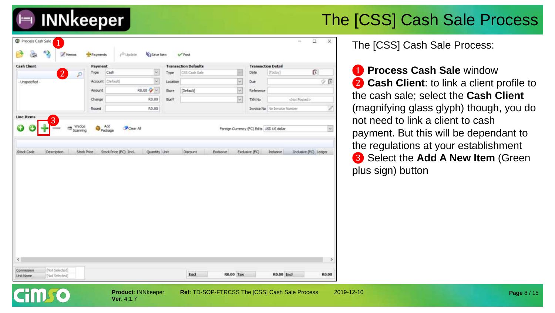| <b>Cash Client</b>                    | Payment                       |                                                     |              | <b>Transaction Defaults</b> |                         |                | <b>Transaction Detail</b>                             |                                                 |
|---------------------------------------|-------------------------------|-----------------------------------------------------|--------------|-----------------------------|-------------------------|----------------|-------------------------------------------------------|-------------------------------------------------|
| 2<br>P                                | Type                          | Cash<br>$\vee$                                      | Type         | CSS Cash Sale               |                         | Date<br>E      | [Today]                                               | $\mathbb{D}$                                    |
| - Unspecified -                       | Account (Default)             | $\overline{\mathbf{v}}$                             | Location     |                             | $\ddot{\phantom{0}}$    | Due            |                                                       | $\dot{\mathcal{D}}$ $\dot{\mathbf{B}}$          |
|                                       | Amount                        | R0.00 $\sim$                                        | <b>Store</b> | [Default]                   | $\ddot{\phantom{0}}$    | Reference      |                                                       |                                                 |
|                                       | Change                        | R0.00                                               | Staff        |                             | $\overline{\mathbf{v}}$ | TXN No         | <not posted=""></not>                                 |                                                 |
|                                       | Round                         | R0.00                                               |              |                             |                         |                | Invoice No No Invoice Number                          |                                                 |
| Scanning<br>Description<br>Stock Code | Add<br>Package<br>Stock Price | Clear All<br>Stock Price (FC) Ind.<br>Quantity Unit |              | <b>Discount</b>             | Exclusive               | Exclusive (FC) | Foreign Currency (FC) Edits USD US dollar<br>Indusive | $\overline{\mathsf{v}}$<br>Indusive (FC) Ledger |
|                                       |                               |                                                     |              |                             |                         |                |                                                       |                                                 |
|                                       |                               |                                                     |              |                             |                         |                |                                                       |                                                 |
|                                       |                               |                                                     |              |                             |                         |                |                                                       |                                                 |

**Ver**: 4.1.7

**INNkeeper** 

**Product**: INNkeeper **Ref**: TD-SOP-FTRCSS The [CSS] Cash Sale Process 2019-12-10

The [CSS] Cash Sale Process:

❶ **Process Cash Sale** window ❷ **Cash Client**: to link a client profile to the cash sale; select the **Cash Client**  (magnifying glass glyph) though, you do not need to link a client to cash payment. But this will be dependant to the regulations at your establishment ❸ Select the **Add A New Item** (Green plus sign) button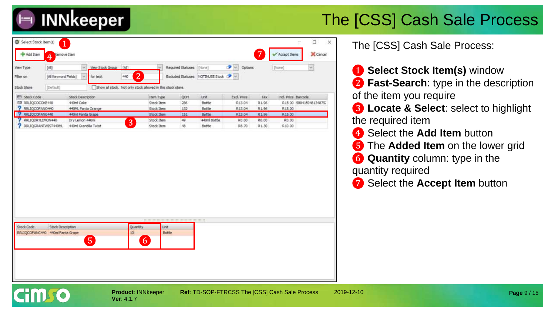

| View Type<br>Filter on                         | [Al]<br>[All Keyword Fields] | $\mathcal{L}$<br>$\mathcal{L}$ | View Stock Group [All]<br>for text<br>440 | $\overline{2}$                                              | Required Statuses   [None]<br>Excluded Statuses NOTINUSE Stock |               | $\bullet$<br>Options |       | [[None]            | w.                      |
|------------------------------------------------|------------------------------|--------------------------------|-------------------------------------------|-------------------------------------------------------------|----------------------------------------------------------------|---------------|----------------------|-------|--------------------|-------------------------|
| Stock Store                                    | (Default)                    |                                |                                           | Show all stock. Not only stock allowed in this stock store. |                                                                |               |                      |       |                    |                         |
| <b>ITT</b> Stock Code                          |                              | Stock Description              |                                           | Item Type                                                   | <b>QOH</b>                                                     | Unit          | Exd. Price           | Tax   | Ind. Price Barcode |                         |
| 問 RRLIQCOCOKE440                               |                              | 440ml Coke                     |                                           | Stock Item                                                  | 286                                                            | Bottle        | R13.04               | R1.96 |                    | R15.00 500415948134875; |
| <b>P RRLIQCOFANO440</b>                        |                              | 440ML Fanta Orange             |                                           | Stock Item                                                  | 132                                                            | Bottle        | R13.04               | R1.96 | R.15.00            |                         |
| <b>2</b> RRLIQCOFANG440                        |                              | 440ml Fanta Grape              |                                           | <b>Stock Item</b>                                           | 151                                                            | <b>Bottle</b> | R13.04               | R1.96 | R15.00             |                         |
| RRLIQDRYLEMON440                               |                              | Dry Lemon 440ml                |                                           | Stock Item<br>3                                             | 49                                                             | 440ml Bottle  | R0.00                | R0.00 | R0.00              |                         |
| RRLIQGRANTWIST440ML                            |                              | 440ml Grandisa Twist           |                                           | Stock Item                                                  | 48                                                             | Bottle        | R.B.70               | R1.30 | R 10.00            |                         |
|                                                |                              |                                |                                           |                                                             |                                                                |               |                      |       |                    |                         |
|                                                |                              |                                |                                           |                                                             |                                                                |               |                      |       |                    |                         |
|                                                |                              |                                |                                           |                                                             |                                                                |               |                      |       |                    |                         |
| Stock Code<br>RRLIQCOFANG440 440ml Fanta Grape | Stock Description            |                                |                                           | Quantity<br>10 <sub>1</sub>                                 | <b>Unit:</b><br>Bottle                                         |               |                      |       |                    |                         |

**Ver**: 4.1.7

The [CSS] Cash Sale Process:

❶ **Select Stock Item(s)** window ❷ **Fast-Search**: type in the description of the item you require

❸ **Locate & Select**: select to highlight the required item

**4** Select the **Add Item** button

❺ The **Added Item** on the lower grid

**6 Quantity** column: type in the quantity required

❼ Select the **Accept Item** button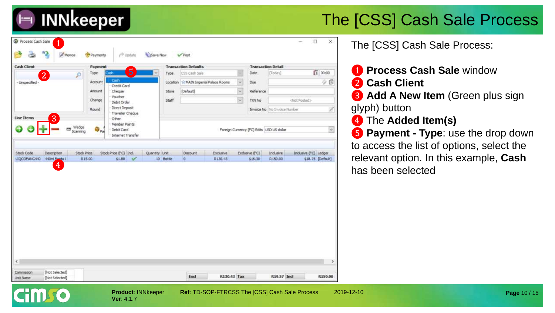

| <b>Cash Client</b><br> 2   | Payment<br>Type              | ა                                                         | Type                       | <b>Transaction Defaults</b><br>CSS Cash Sale |                            |                                           | Date                     | <b>Transaction Detail</b><br>[Today] | 11 00:00                                   | 1 Process Cash Sale window                                                    |
|----------------------------|------------------------------|-----------------------------------------------------------|----------------------------|----------------------------------------------|----------------------------|-------------------------------------------|--------------------------|--------------------------------------|--------------------------------------------|-------------------------------------------------------------------------------|
| - Unspecified              | Account                      | Credit Card                                               | Location                   |                                              | MAIN Imperial Palace Rooms |                                           | Due                      |                                      |                                            | 2 Cash Client<br>$\dot{\mathcal{D}}$ (S)                                      |
|                            | Amount<br>Change             | Cheque<br>Voucher<br>Debit Order                          | Store<br>Staff             | [Default]                                    |                            | $\sim$<br>SF.                             | Reference<br>TXN No      |                                      |                                            | <b>3</b> Add A New Item (Green plus sign                                      |
|                            | Round                        | Direct Deposit<br>Traveller Cheque                        |                            |                                              |                            |                                           |                          | <b>Invoice No</b> No Invoice Number  |                                            | glyph) button                                                                 |
| 3<br><b>Line Items</b>     |                              | Other<br>Member Points<br>Debit Card<br>Internet Transfer |                            |                                              |                            | Foreign Currency (FC) Edits USD US dollar |                          |                                      |                                            | 4 The Added Item(s)<br>$ \psi $<br><b>6</b> Payment - Type: use the drop down |
|                            |                              |                                                           |                            |                                              |                            |                                           |                          |                                      |                                            |                                                                               |
|                            |                              |                                                           |                            |                                              |                            |                                           |                          |                                      |                                            | to access the list of options, select the                                     |
| Description<br>440ml Fanta | <b>Stock Price</b><br>R15.00 | Stock Price (FC) Ind.<br>\$1.88                           | Quantity Unit<br>10 Bottle | Discount                                     |                            | Exclusive<br>R130.43                      | Exdusive (FC)<br>\$16.30 | Indusive<br>R150.00                  | Inclusive (FC) Ledger<br>\$18.75 [Default] |                                                                               |
| 4                          |                              |                                                           |                            |                                              |                            |                                           |                          |                                      |                                            | relevant option. In this example, Cash                                        |
|                            |                              |                                                           |                            |                                              |                            |                                           |                          |                                      |                                            | has been selected                                                             |
|                            |                              |                                                           |                            |                                              |                            |                                           |                          |                                      |                                            |                                                                               |
|                            |                              |                                                           |                            |                                              |                            |                                           |                          |                                      |                                            |                                                                               |
|                            |                              |                                                           |                            |                                              |                            |                                           |                          |                                      |                                            |                                                                               |
|                            |                              |                                                           |                            |                                              |                            |                                           |                          |                                      |                                            |                                                                               |
|                            |                              |                                                           |                            |                                              |                            |                                           |                          |                                      |                                            |                                                                               |
|                            |                              |                                                           |                            |                                              |                            |                                           |                          |                                      |                                            |                                                                               |
|                            |                              |                                                           |                            |                                              |                            |                                           |                          |                                      |                                            |                                                                               |
|                            |                              |                                                           |                            |                                              |                            |                                           |                          |                                      |                                            |                                                                               |
| Stock Code<br>LIQCOFANG440 |                              |                                                           |                            |                                              |                            |                                           |                          |                                      |                                            |                                                                               |

**Ver**: 4.1.7

- ❶ **Process Cash Sale** window
- ❷ **Cash Client**
- ❸ **Add A New Item** (Green plus sign

- ❹ The **Added Item(s)**
- **6** Payment Type: use the drop down to access the list of options, select the relevant option. In this example, **Cash** has been selected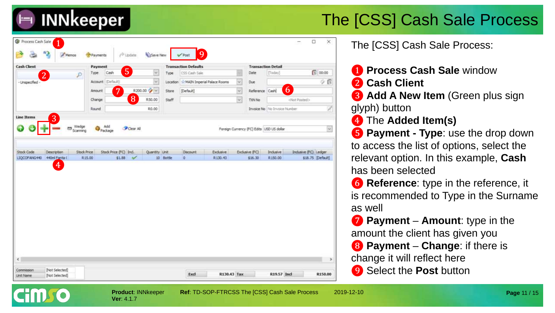

| <b>Cash Client</b>                                | Payment                                      |               |           | <b>Transaction Defaults</b> |           |                | <b>Transaction Detail</b> |                                           |                      |                         |
|---------------------------------------------------|----------------------------------------------|---------------|-----------|-----------------------------|-----------|----------------|---------------------------|-------------------------------------------|----------------------|-------------------------|
| $\overline{2}$<br>₽                               | Type.<br>Cash                                | 5<br>v        | Type      | CSS Cash Sale               |           |                | Date                      | [Today]                                   |                      | 3 00:00                 |
| - Unspecified -                                   | Account (Default)                            | $\sim$        | Location  | MAIN Imperial Palace Rooms  |           | $\omega$       | Due                       |                                           |                      | 少良                      |
|                                                   | 7<br>Amount                                  | R200.00 2     | Store     | [Default]                   |           | $\checkmark$   | Reference Cash            | 6                                         |                      |                         |
|                                                   | Change                                       | 8<br>R50.00   | Staff     |                             |           | Ý.             | TXN No                    |                                           | cNot Posted>         |                         |
|                                                   | Round                                        | R0.00         |           |                             |           |                |                           | Invoice No. No Invoice Number             |                      | D,                      |
| <b>Line Items</b><br>$\overline{3}$<br><b>ISS</b> |                                              |               |           |                             |           |                |                           |                                           |                      |                         |
| Wedge<br>Scanning                                 | Add<br>Package                               | Clear All     |           |                             |           |                |                           | Foreign Currency (FC) Edits USD US dollar |                      | $\overline{\mathbf{v}}$ |
|                                                   |                                              |               |           |                             |           |                |                           |                                           |                      |                         |
|                                                   |                                              |               |           |                             |           |                |                           |                                           |                      |                         |
| <b>Description</b>                                | <b>Stock Price</b><br>Stock Price (FC) Incl. | Quantity Unit |           | <b>Discount</b>             | Exclusive | Exclusive (FC) |                           | Inclusive                                 | Indusive (FC) Ledger |                         |
| 440ml Fanta C<br>$\overline{4}$                   | R15.00<br>\$1.88                             | $\mathcal{L}$ | 10 Sottle | $\Omega$                    | R130.43   |                | \$16.30                   | R150.00                                   |                      |                         |
| Stock Code<br>LIQCOFANG440                        |                                              |               |           |                             |           |                |                           |                                           |                      | \$18.75 [Default]       |

The [CSS] Cash Sale Process:

- ❶ **Process Cash Sale** window
- ❷ **Cash Client**

**8 Add A New Item** (Green plus sign

glyph) button

❹ The **Added Item(s)**

❺ **Payment - Type**: use the drop down to access the list of options, select the relevant option. In this example, **Cash** has been selected

**6 Reference**: type in the reference, it is recommended to Type in the Surname as well

❼ **Payment** – **Amount**: type in the amount the client has given you ❽ **Payment** – **Change**: if there is change it will reflect here

❾ Select the **Post** button

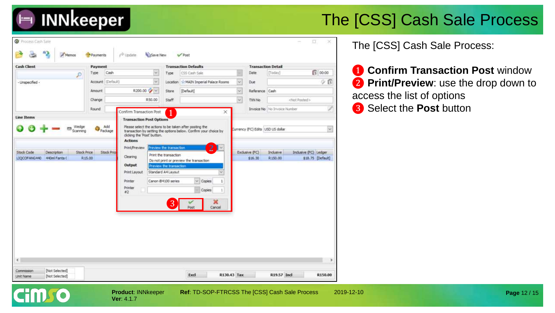

| <b>Cash Client</b>                                                | Payment                                            |                                                                                                          |                                                                                                  | <b>Transaction Defaults</b>                                                                                    |              | <b>Transaction Detail</b>         |                              |                       |                   |
|-------------------------------------------------------------------|----------------------------------------------------|----------------------------------------------------------------------------------------------------------|--------------------------------------------------------------------------------------------------|----------------------------------------------------------------------------------------------------------------|--------------|-----------------------------------|------------------------------|-----------------------|-------------------|
| ₽                                                                 | Cash<br>Type                                       | ۷                                                                                                        | Type                                                                                             | CSS Cash Sale                                                                                                  |              | Date                              | [Today]                      |                       | 1 00:00           |
| - Linspecified -                                                  | Account (Default)                                  | ×.                                                                                                       |                                                                                                  | Location   St MAIN Imperial Palace Rooms                                                                       | $\checkmark$ | Due                               |                              |                       | Υß                |
|                                                                   | Amount                                             | R200.00 %                                                                                                | Store                                                                                            | [Default]                                                                                                      | ¥.           | Reference Cash                    |                              |                       |                   |
|                                                                   | Change                                             | R50.00                                                                                                   | Staff                                                                                            |                                                                                                                | $\checkmark$ | TXN No                            |                              | <not posted=""></not> |                   |
|                                                                   | Round                                              | Confirm Transaction Post                                                                                 |                                                                                                  | $\times$                                                                                                       |              |                                   | Invoice No No Invoice Number |                       |                   |
| <b>Line Items</b>                                                 |                                                    | <b>Transaction Post Options</b>                                                                          |                                                                                                  |                                                                                                                |              |                                   |                              |                       |                   |
| Wedge<br>Scanning                                                 | Add<br>Package                                     | Please select the actions to be taken after posting the<br>clicking the 'Post' button.<br><b>Actions</b> |                                                                                                  | transaction by setting the options below. Confirm your choice by<br>2 <sub>1</sub>                             |              | Currency (FC) Edits USD US dollar |                              |                       | $_{\rm v}$        |
| <b>Stock Code</b><br>Description<br>440ml Fanta C<br>LIQCOFANG440 | <b>Stock Price</b><br><b>Stock Price</b><br>R15.00 | Clearing<br>Output<br>Print Layout<br>Printer<br>Printer<br>#2                                           | Print the transaction<br>Preview the transaction<br>Standard A4Layout<br>Canon 84100 series<br>3 | Do not print or preview the transaction<br>$\vee$ Copies<br>1<br>Copies<br>$\mathbb{1}$<br>×<br>Cancel<br>Post |              | Exclusive (FC)<br>\$16.30         | Industre<br>R150.00          | Inclusive (FC) Ledger | \$18.75 [Default] |
|                                                                   |                                                    |                                                                                                          |                                                                                                  |                                                                                                                |              |                                   |                              |                       |                   |

**Ver**: 4.1.7

**HILLO** 

**Product: INNkeeper Ref: TD-SOP-FTRCSS The [CSS] Cash Sale Process 2019-12-10** 

The [CSS] Cash Sale Process:

**1 Confirm Transaction Post window 2 Print/Preview**: use the drop down to access the list of options <sup>❶</sup> <sup>❸</sup> Select the **Post** button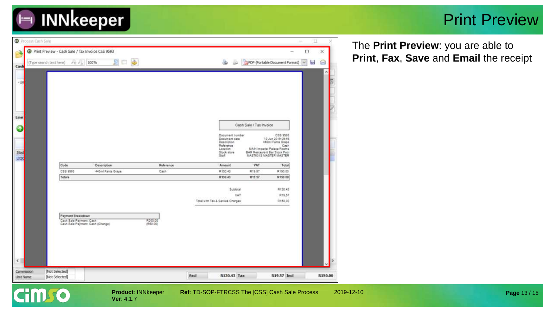

#### Print Preview

| <b>O</b> Process Cash Sale |                                                  |                                         |                     |                                 |                                  |                                                              |                               | ü        |
|----------------------------|--------------------------------------------------|-----------------------------------------|---------------------|---------------------------------|----------------------------------|--------------------------------------------------------------|-------------------------------|----------|
|                            | Print Preview - Cash Sale / Tax Invoice CSS 9593 |                                         |                     |                                 |                                  |                                                              | о<br>$\overline{\phantom{a}}$ | $\times$ |
| (Type search text here)    | $P_0$ $P_0$                                      | ٨<br>100%<br>PП                         |                     |                                 | ۵<br><b>UG</b>                   | <b>DIPDF</b> (Portable Document Format)                      | ы<br>$\sim$                   | 8        |
| Cash                       |                                                  |                                         |                     |                                 |                                  |                                                              |                               | ×        |
| $-13$                      |                                                  |                                         |                     |                                 |                                  |                                                              |                               |          |
|                            |                                                  |                                         |                     |                                 |                                  |                                                              |                               |          |
|                            |                                                  |                                         |                     |                                 |                                  |                                                              |                               |          |
|                            |                                                  |                                         |                     |                                 |                                  |                                                              |                               |          |
|                            |                                                  |                                         |                     |                                 |                                  |                                                              |                               |          |
|                            |                                                  |                                         |                     |                                 |                                  |                                                              |                               |          |
|                            |                                                  |                                         |                     |                                 | Cash Sale / Tax Invoice          |                                                              |                               |          |
|                            |                                                  |                                         |                     |                                 | Document number<br>Document date | CSS 9593<br>10 Jun 2019 09:46                                |                               |          |
|                            |                                                  |                                         |                     |                                 | Description<br>Reference         | 440ml Fanta Grape<br>Cash                                    |                               |          |
| Stod                       |                                                  |                                         |                     |                                 | Location<br>Stock store          | MAIN Imperial Palace Rooms.<br>BAR Restaurant Bar Stock Pool |                               |          |
| LIQC                       |                                                  |                                         |                     | Staff                           |                                  | MAST001S MASTER MASTER                                       |                               |          |
|                            | Code<br>CSS 9593                                 | <b>Description</b><br>440ml Fanta Grape | Reference<br>Cash   |                                 | Amount<br>R130.43                | VAT<br>Total<br>R19.57<br>R150.00                            |                               |          |
|                            | Totals                                           |                                         |                     |                                 | R130.43                          | R19.57<br>R150.00                                            |                               |          |
|                            |                                                  |                                         |                     |                                 |                                  |                                                              |                               |          |
|                            |                                                  |                                         |                     |                                 | Subtotal<br>VAT.                 | R130.43<br>R19.57                                            |                               |          |
|                            |                                                  |                                         |                     | Total with Tax & Senice Charges |                                  | R150.00                                                      |                               |          |
|                            |                                                  |                                         |                     |                                 |                                  |                                                              |                               |          |
|                            | Payment Breakdown                                |                                         |                     |                                 |                                  |                                                              |                               |          |
|                            | Cash Sale Payment, Cash                          | Cash Sale Payment, Cash (Change)        | R200.00<br>(950.00) |                                 |                                  |                                                              |                               |          |
|                            |                                                  |                                         |                     |                                 |                                  |                                                              |                               |          |
|                            |                                                  |                                         |                     |                                 |                                  |                                                              |                               |          |
|                            |                                                  |                                         |                     |                                 |                                  |                                                              |                               |          |
|                            |                                                  |                                         |                     |                                 |                                  |                                                              |                               |          |
|                            |                                                  |                                         |                     |                                 |                                  |                                                              |                               |          |
| Commission                 | [Not Selected]<br>[Not Selected]                 |                                         |                     |                                 |                                  |                                                              |                               |          |
|                            |                                                  |                                         |                     | Excl                            | R130.43 Tax                      | R19.57 Incl                                                  |                               | R150.00  |

The **Print Preview**: you are able to **Print**, **Fax**, **Save** and **Email** the receipt

**Product: INNkeeper Ref: TD-SOP-FTRCSS The [CSS] Cash Sale Process 2019-12-10**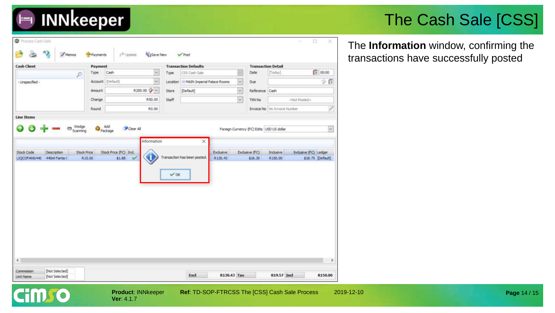## 

### The Cash Sale [CSS]

The **Information** window, confirming the transactions have successfully posted

| $\Box$ 00:00<br>×<br>[Today]<br>Cash<br>Date<br>CSS Cash Sale<br>Type<br>Type<br>P<br>$\ddot{\phantom{0}}$<br>$\overline{\mathbf{v}}$<br>φø<br>Account (Default)<br>Location St MAIN Imperial Palace Rooms<br>Due<br>×<br>R200.00 <sup>2</sup><br>Amount<br>[Default]<br>Reference Cash<br>Store<br>$\checkmark$<br>R50.00<br>TXN No<br><not posted=""><br/>Change<br/><b>Staff</b><br/>V,<br/>R0.00<br/>Invoice No No Invoice Number<br/>Round<br/>Wedge<br/>Scanning<br/>Add<br/>Package<br/>Clear All<br/><math display="inline">\overline{\mathcal{L}}</math><br/>Foreign Currency (FC) Edits USD US dollar<br/>Information<br/>×<br/>Indusive (FC) Ledger<br/>Stock Price (FC) Incl.<br/>Exclusive (FC)<br/>Indusive<br/>Description<br/><b>Stock Price</b><br/>Exclusive<br/>Transaction has been posted.<br/>\$18.75 [Default]<br/>R15.00<br/>\$1.88<br/>R130.43<br/>R150.00<br/>\$16.30<br/><math>\vee</math> OK</not> | <b>Cash Client</b>                         | Payment |  |  | <b>Transaction Defaults</b> |  | <b>Transaction Detail</b> |               |
|--------------------------------------------------------------------------------------------------------------------------------------------------------------------------------------------------------------------------------------------------------------------------------------------------------------------------------------------------------------------------------------------------------------------------------------------------------------------------------------------------------------------------------------------------------------------------------------------------------------------------------------------------------------------------------------------------------------------------------------------------------------------------------------------------------------------------------------------------------------------------------------------------------------------------------|--------------------------------------------|---------|--|--|-----------------------------|--|---------------------------|---------------|
| - Unspecified -                                                                                                                                                                                                                                                                                                                                                                                                                                                                                                                                                                                                                                                                                                                                                                                                                                                                                                                |                                            |         |  |  |                             |  |                           |               |
|                                                                                                                                                                                                                                                                                                                                                                                                                                                                                                                                                                                                                                                                                                                                                                                                                                                                                                                                |                                            |         |  |  |                             |  |                           |               |
|                                                                                                                                                                                                                                                                                                                                                                                                                                                                                                                                                                                                                                                                                                                                                                                                                                                                                                                                |                                            |         |  |  |                             |  |                           |               |
|                                                                                                                                                                                                                                                                                                                                                                                                                                                                                                                                                                                                                                                                                                                                                                                                                                                                                                                                |                                            |         |  |  |                             |  |                           |               |
| <b>Line Items</b>                                                                                                                                                                                                                                                                                                                                                                                                                                                                                                                                                                                                                                                                                                                                                                                                                                                                                                              |                                            |         |  |  |                             |  |                           |               |
|                                                                                                                                                                                                                                                                                                                                                                                                                                                                                                                                                                                                                                                                                                                                                                                                                                                                                                                                |                                            |         |  |  |                             |  |                           |               |
|                                                                                                                                                                                                                                                                                                                                                                                                                                                                                                                                                                                                                                                                                                                                                                                                                                                                                                                                |                                            |         |  |  |                             |  |                           |               |
|                                                                                                                                                                                                                                                                                                                                                                                                                                                                                                                                                                                                                                                                                                                                                                                                                                                                                                                                |                                            |         |  |  |                             |  |                           |               |
|                                                                                                                                                                                                                                                                                                                                                                                                                                                                                                                                                                                                                                                                                                                                                                                                                                                                                                                                |                                            |         |  |  |                             |  |                           |               |
|                                                                                                                                                                                                                                                                                                                                                                                                                                                                                                                                                                                                                                                                                                                                                                                                                                                                                                                                | Stock Code<br>LIQCOFANG440 440ml Fanta (   |         |  |  |                             |  |                           |               |
|                                                                                                                                                                                                                                                                                                                                                                                                                                                                                                                                                                                                                                                                                                                                                                                                                                                                                                                                | $\epsilon$<br>[Not Selected]<br>Commission |         |  |  |                             |  |                           | $\rightarrow$ |

**Ver**: 4.1.7

GIIDTO